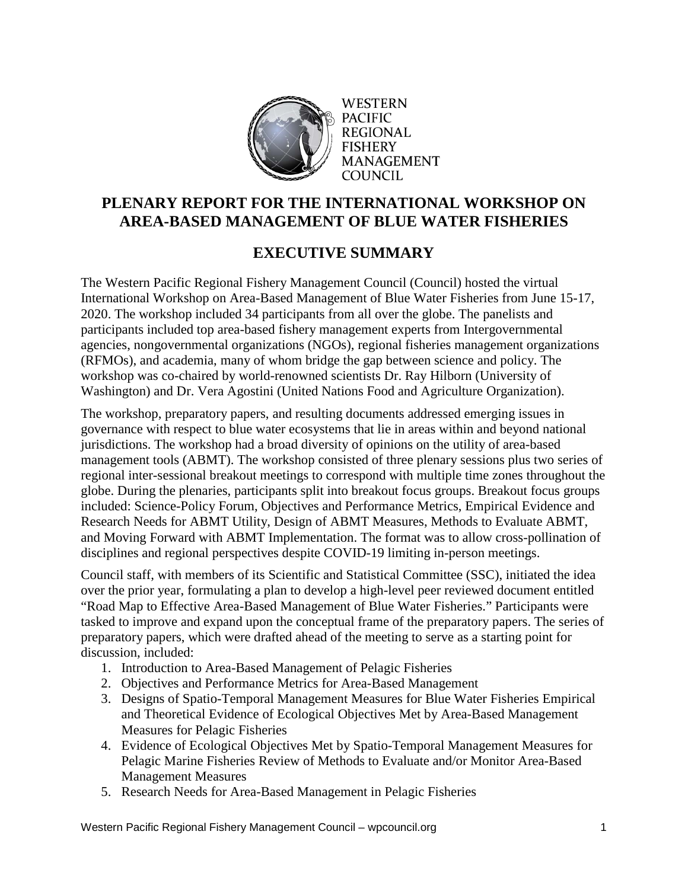

**WESTERN PACIFIC REGIONAL** FISHERY **MANAGEMENT COUNCIL** 

## **PLENARY REPORT FOR THE INTERNATIONAL WORKSHOP ON AREA-BASED MANAGEMENT OF BLUE WATER FISHERIES**

## **EXECUTIVE SUMMARY**

The Western Pacific Regional Fishery Management Council (Council) hosted the virtual International Workshop on Area-Based Management of Blue Water Fisheries from June 15-17, 2020. The workshop included 34 participants from all over the globe. The panelists and participants included top area-based fishery management experts from Intergovernmental agencies, nongovernmental organizations (NGOs), regional fisheries management organizations (RFMOs), and academia, many of whom bridge the gap between science and policy. The workshop was co-chaired by world-renowned scientists Dr. Ray Hilborn (University of Washington) and Dr. Vera Agostini (United Nations Food and Agriculture Organization).

The workshop, preparatory papers, and resulting documents addressed emerging issues in governance with respect to blue water ecosystems that lie in areas within and beyond national jurisdictions. The workshop had a broad diversity of opinions on the utility of area-based management tools (ABMT). The workshop consisted of three plenary sessions plus two series of regional inter-sessional breakout meetings to correspond with multiple time zones throughout the globe. During the plenaries, participants split into breakout focus groups. Breakout focus groups included: Science-Policy Forum, Objectives and Performance Metrics, Empirical Evidence and Research Needs for ABMT Utility, Design of ABMT Measures, Methods to Evaluate ABMT, and Moving Forward with ABMT Implementation. The format was to allow cross-pollination of disciplines and regional perspectives despite COVID-19 limiting in-person meetings.

Council staff, with members of its Scientific and Statistical Committee (SSC), initiated the idea over the prior year, formulating a plan to develop a high-level peer reviewed document entitled "Road Map to Effective Area-Based Management of Blue Water Fisheries." Participants were tasked to improve and expand upon the conceptual frame of the preparatory papers. The series of preparatory papers, which were drafted ahead of the meeting to serve as a starting point for discussion, included:

- 1. Introduction to Area-Based Management of Pelagic Fisheries
- 2. Objectives and Performance Metrics for Area-Based Management
- 3. Designs of Spatio-Temporal Management Measures for Blue Water Fisheries Empirical and Theoretical Evidence of Ecological Objectives Met by Area-Based Management Measures for Pelagic Fisheries
- 4. Evidence of Ecological Objectives Met by Spatio-Temporal Management Measures for Pelagic Marine Fisheries Review of Methods to Evaluate and/or Monitor Area-Based Management Measures
- 5. Research Needs for Area-Based Management in Pelagic Fisheries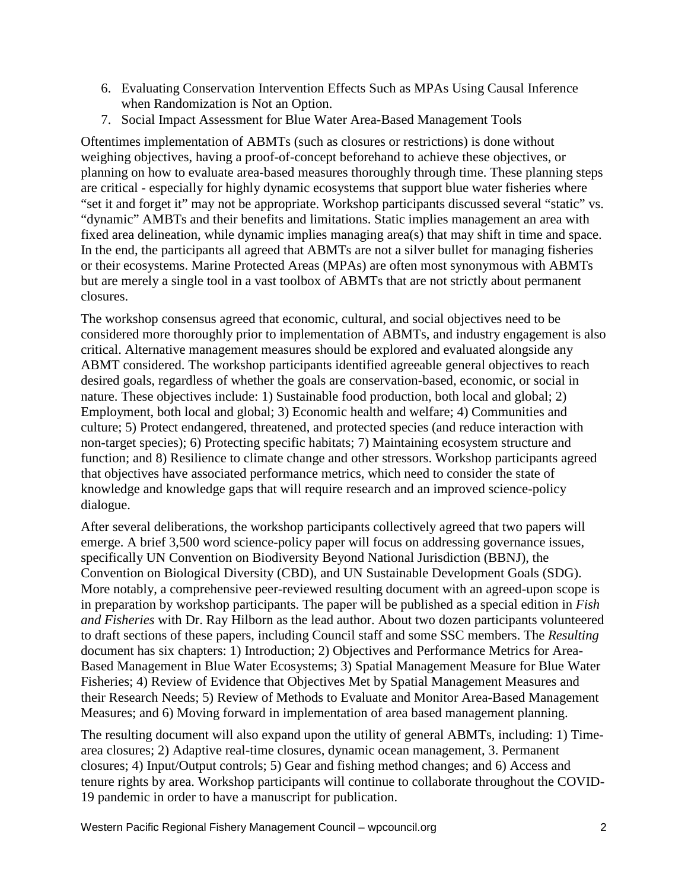- 6. Evaluating Conservation Intervention Effects Such as MPAs Using Causal Inference when Randomization is Not an Option.
- 7. Social Impact Assessment for Blue Water Area-Based Management Tools

Oftentimes implementation of ABMTs (such as closures or restrictions) is done without weighing objectives, having a proof-of-concept beforehand to achieve these objectives, or planning on how to evaluate area-based measures thoroughly through time. These planning steps are critical - especially for highly dynamic ecosystems that support blue water fisheries where "set it and forget it" may not be appropriate. Workshop participants discussed several "static" vs. "dynamic" AMBTs and their benefits and limitations. Static implies management an area with fixed area delineation, while dynamic implies managing area(s) that may shift in time and space. In the end, the participants all agreed that ABMTs are not a silver bullet for managing fisheries or their ecosystems. Marine Protected Areas (MPAs) are often most synonymous with ABMTs but are merely a single tool in a vast toolbox of ABMTs that are not strictly about permanent closures.

The workshop consensus agreed that economic, cultural, and social objectives need to be considered more thoroughly prior to implementation of ABMTs, and industry engagement is also critical. Alternative management measures should be explored and evaluated alongside any ABMT considered. The workshop participants identified agreeable general objectives to reach desired goals, regardless of whether the goals are conservation-based, economic, or social in nature. These objectives include: 1) Sustainable food production, both local and global; 2) Employment, both local and global; 3) Economic health and welfare; 4) Communities and culture; 5) Protect endangered, threatened, and protected species (and reduce interaction with non-target species); 6) Protecting specific habitats; 7) Maintaining ecosystem structure and function; and 8) Resilience to climate change and other stressors. Workshop participants agreed that objectives have associated performance metrics, which need to consider the state of knowledge and knowledge gaps that will require research and an improved science-policy dialogue.

After several deliberations, the workshop participants collectively agreed that two papers will emerge. A brief 3,500 word science-policy paper will focus on addressing governance issues, specifically UN Convention on Biodiversity Beyond National Jurisdiction (BBNJ), the Convention on Biological Diversity (CBD), and UN Sustainable Development Goals (SDG). More notably, a comprehensive peer-reviewed resulting document with an agreed-upon scope is in preparation by workshop participants. The paper will be published as a special edition in *Fish and Fisheries* with Dr. Ray Hilborn as the lead author. About two dozen participants volunteered to draft sections of these papers, including Council staff and some SSC members. The *Resulting* document has six chapters: 1) Introduction; 2) Objectives and Performance Metrics for Area-Based Management in Blue Water Ecosystems; 3) Spatial Management Measure for Blue Water Fisheries; 4) Review of Evidence that Objectives Met by Spatial Management Measures and their Research Needs; 5) Review of Methods to Evaluate and Monitor Area-Based Management Measures; and 6) Moving forward in implementation of area based management planning.

The resulting document will also expand upon the utility of general ABMTs, including: 1) Timearea closures; 2) Adaptive real-time closures, dynamic ocean management, 3. Permanent closures; 4) Input/Output controls; 5) Gear and fishing method changes; and 6) Access and tenure rights by area. Workshop participants will continue to collaborate throughout the COVID-19 pandemic in order to have a manuscript for publication.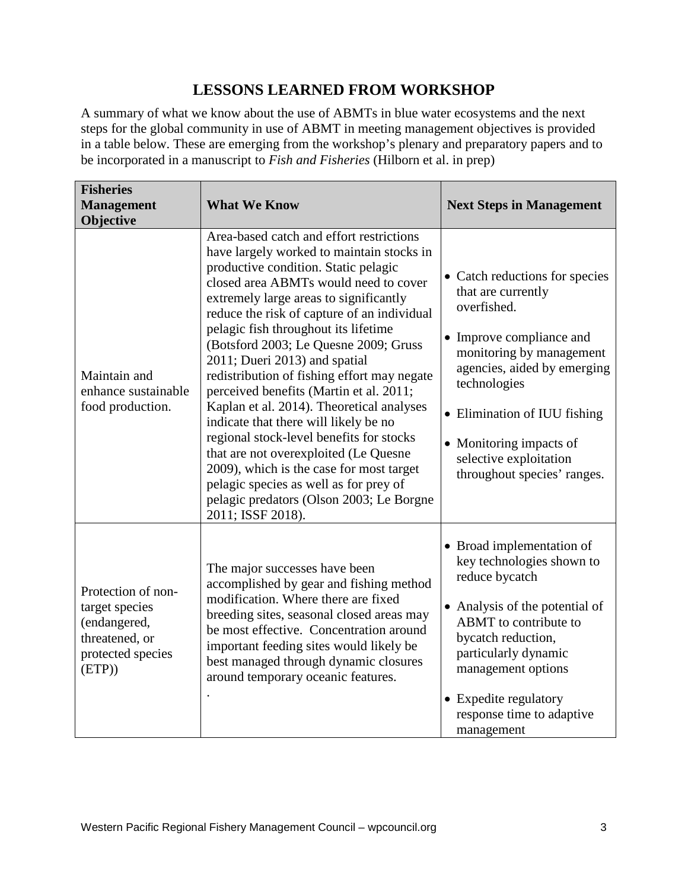## **LESSONS LEARNED FROM WORKSHOP**

A summary of what we know about the use of ABMTs in blue water ecosystems and the next steps for the global community in use of ABMT in meeting management objectives is provided in a table below. These are emerging from the workshop's plenary and preparatory papers and to be incorporated in a manuscript to *Fish and Fisheries* (Hilborn et al. in prep)

| <b>Fisheries</b><br><b>Management</b><br>Objective                                                   | <b>What We Know</b>                                                                                                                                                                                                                                                                                                                                                                                                                                                                                                                                                                                                                                                                                                                                                                                           | <b>Next Steps in Management</b>                                                                                                                                                                                                                                                                |
|------------------------------------------------------------------------------------------------------|---------------------------------------------------------------------------------------------------------------------------------------------------------------------------------------------------------------------------------------------------------------------------------------------------------------------------------------------------------------------------------------------------------------------------------------------------------------------------------------------------------------------------------------------------------------------------------------------------------------------------------------------------------------------------------------------------------------------------------------------------------------------------------------------------------------|------------------------------------------------------------------------------------------------------------------------------------------------------------------------------------------------------------------------------------------------------------------------------------------------|
| Maintain and<br>enhance sustainable<br>food production.                                              | Area-based catch and effort restrictions<br>have largely worked to maintain stocks in<br>productive condition. Static pelagic<br>closed area ABMTs would need to cover<br>extremely large areas to significantly<br>reduce the risk of capture of an individual<br>pelagic fish throughout its lifetime<br>(Botsford 2003; Le Quesne 2009; Gruss<br>2011; Dueri 2013) and spatial<br>redistribution of fishing effort may negate<br>perceived benefits (Martin et al. 2011;<br>Kaplan et al. 2014). Theoretical analyses<br>indicate that there will likely be no<br>regional stock-level benefits for stocks<br>that are not overexploited (Le Quesne<br>2009), which is the case for most target<br>pelagic species as well as for prey of<br>pelagic predators (Olson 2003; Le Borgne<br>2011; ISSF 2018). | • Catch reductions for species<br>that are currently<br>overfished.<br>• Improve compliance and<br>monitoring by management<br>agencies, aided by emerging<br>technologies<br>• Elimination of IUU fishing<br>• Monitoring impacts of<br>selective exploitation<br>throughout species' ranges. |
| Protection of non-<br>target species<br>(endangered,<br>threatened, or<br>protected species<br>(ETP) | The major successes have been<br>accomplished by gear and fishing method<br>modification. Where there are fixed<br>breeding sites, seasonal closed areas may<br>be most effective. Concentration around<br>important feeding sites would likely be<br>best managed through dynamic closures<br>around temporary oceanic features.                                                                                                                                                                                                                                                                                                                                                                                                                                                                             | • Broad implementation of<br>key technologies shown to<br>reduce bycatch<br>• Analysis of the potential of<br>ABMT to contribute to<br>bycatch reduction,<br>particularly dynamic<br>management options<br>• Expedite regulatory<br>response time to adaptive<br>management                    |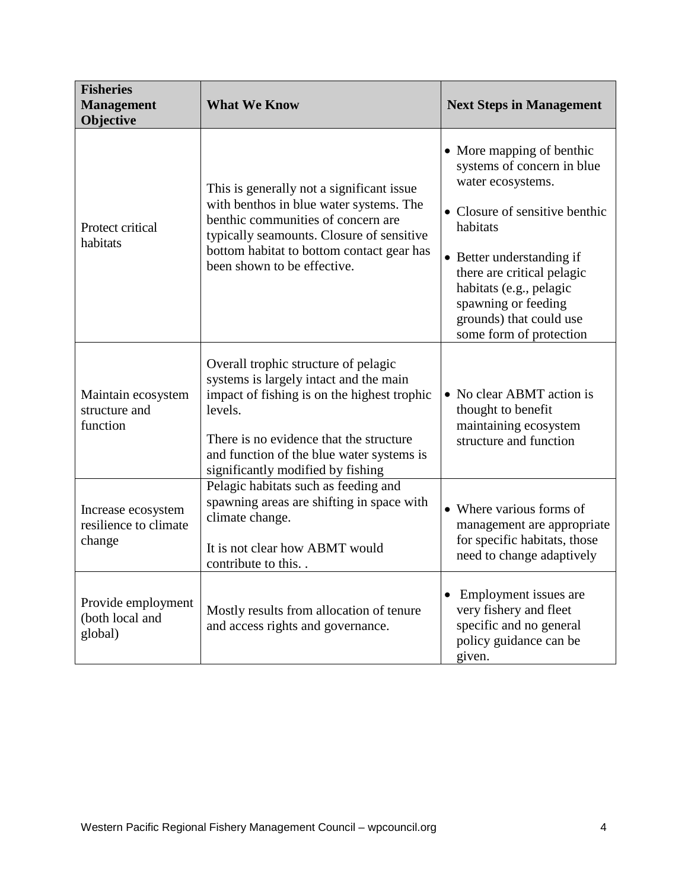| <b>Fisheries</b><br><b>Management</b><br>Objective    | <b>What We Know</b>                                                                                                                                                                                                                                                   | <b>Next Steps in Management</b>                                                                                                                                                                                                                                                               |
|-------------------------------------------------------|-----------------------------------------------------------------------------------------------------------------------------------------------------------------------------------------------------------------------------------------------------------------------|-----------------------------------------------------------------------------------------------------------------------------------------------------------------------------------------------------------------------------------------------------------------------------------------------|
| Protect critical<br>habitats                          | This is generally not a significant issue<br>with benthos in blue water systems. The<br>benthic communities of concern are<br>typically seamounts. Closure of sensitive<br>bottom habitat to bottom contact gear has<br>been shown to be effective.                   | • More mapping of benthic<br>systems of concern in blue<br>water ecosystems.<br>• Closure of sensitive benthic<br>habitats<br>• Better understanding if<br>there are critical pelagic<br>habitats (e.g., pelagic<br>spawning or feeding<br>grounds) that could use<br>some form of protection |
| Maintain ecosystem<br>structure and<br>function       | Overall trophic structure of pelagic<br>systems is largely intact and the main<br>impact of fishing is on the highest trophic<br>levels.<br>There is no evidence that the structure<br>and function of the blue water systems is<br>significantly modified by fishing | • No clear ABMT action is<br>thought to benefit<br>maintaining ecosystem<br>structure and function                                                                                                                                                                                            |
| Increase ecosystem<br>resilience to climate<br>change | Pelagic habitats such as feeding and<br>spawning areas are shifting in space with<br>climate change.<br>It is not clear how ABMT would<br>contribute to this.                                                                                                         | • Where various forms of<br>management are appropriate<br>for specific habitats, those<br>need to change adaptively                                                                                                                                                                           |
| Provide employment<br>(both local and<br>global)      | Mostly results from allocation of tenure<br>and access rights and governance.                                                                                                                                                                                         | Employment issues are<br>$\bullet$<br>very fishery and fleet<br>specific and no general<br>policy guidance can be<br>given.                                                                                                                                                                   |